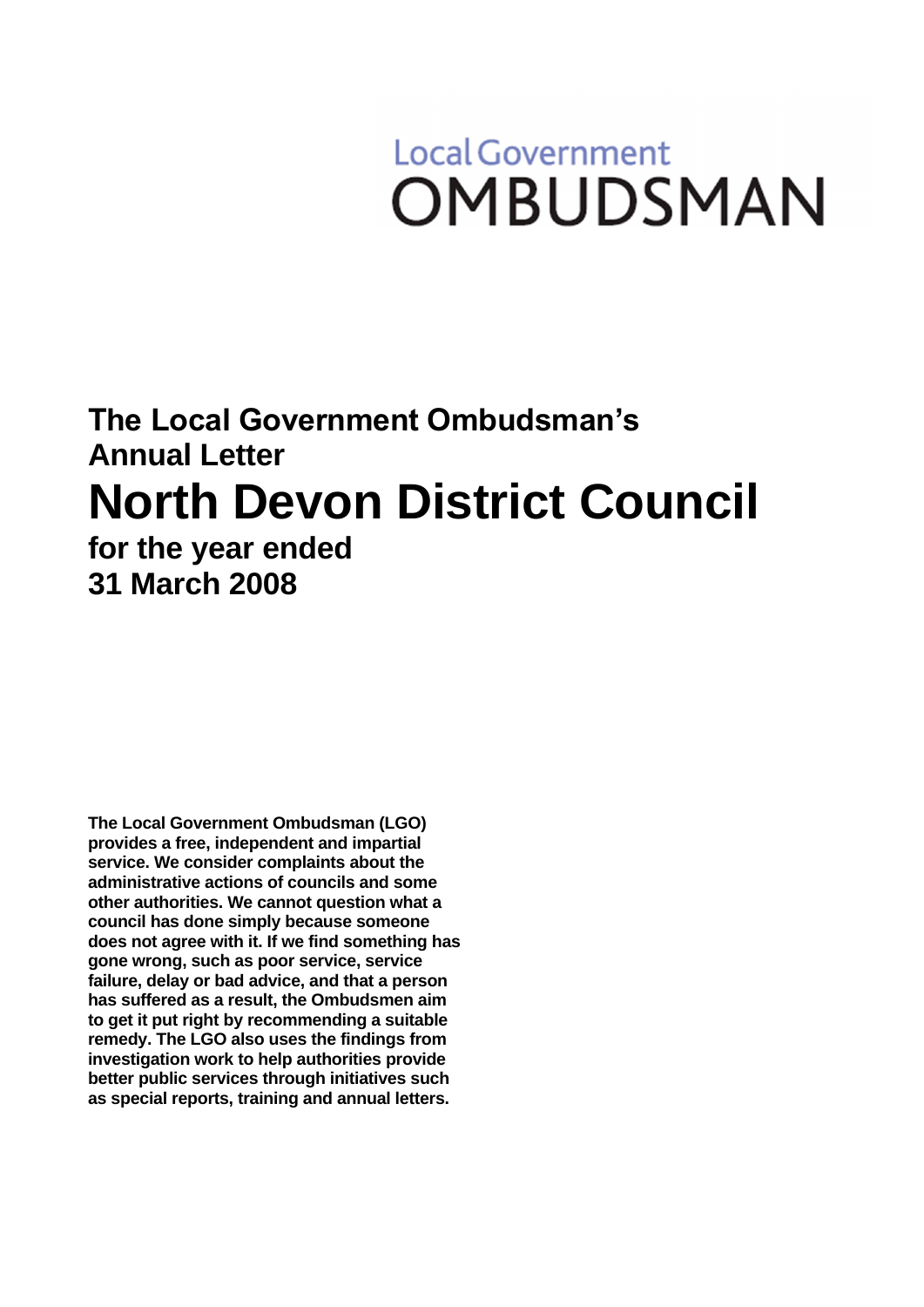# **Local Government OMBUDSMAN**

# **The Local Government Ombudsman's Annual Letter North Devon District Council for the year ended 31 March 2008**

**The Local Government Ombudsman (LGO) provides a free, independent and impartial service. We consider complaints about the administrative actions of councils and some other authorities. We cannot question what a council has done simply because someone does not agree with it. If we find something has gone wrong, such as poor service, service failure, delay or bad advice, and that a person has suffered as a result, the Ombudsmen aim to get it put right by recommending a suitable remedy. The LGO also uses the findings from investigation work to help authorities provide better public services through initiatives such as special reports, training and annual letters.**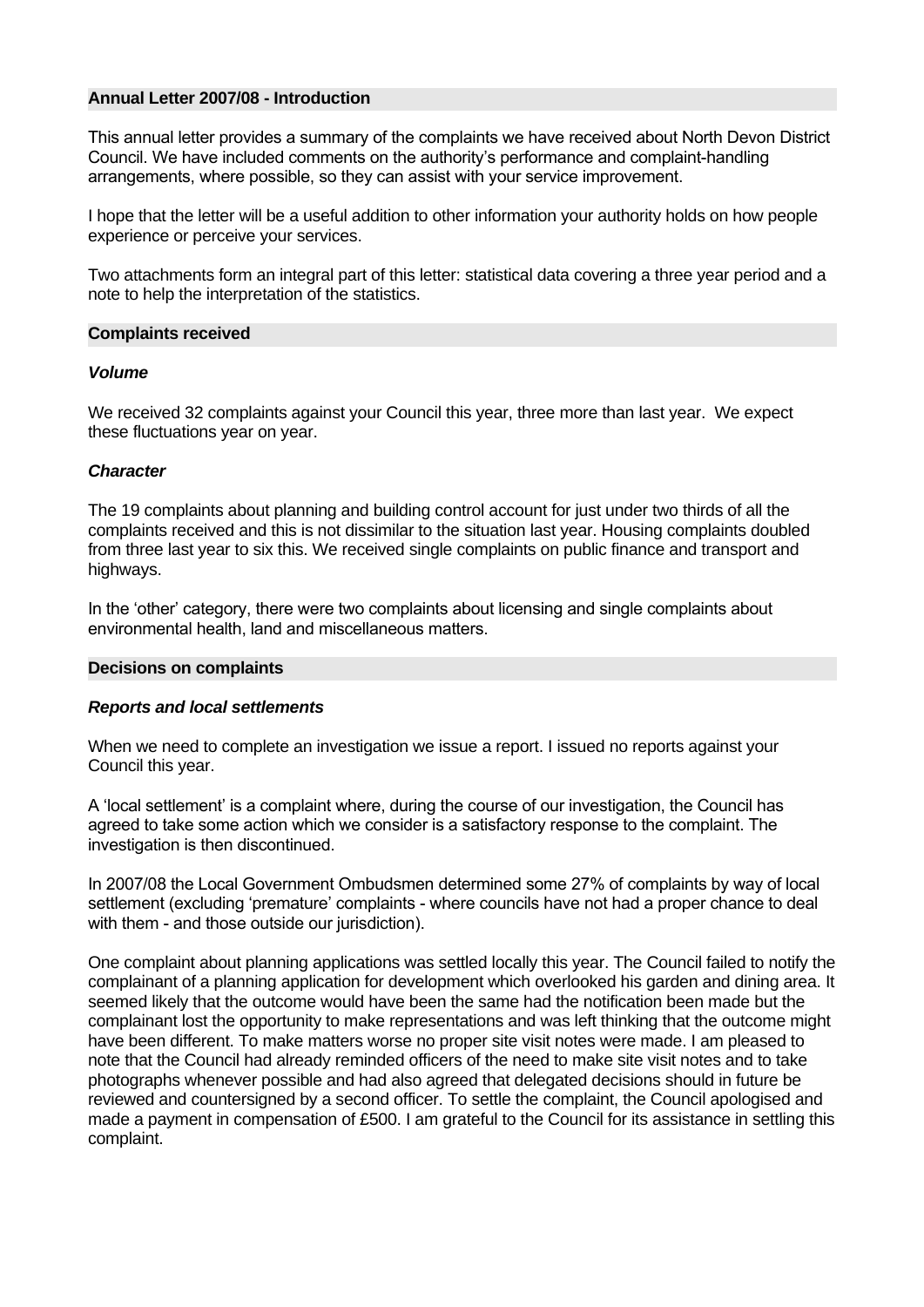# **Annual Letter 2007/08 - Introduction**

This annual letter provides a summary of the complaints we have received about North Devon District Council. We have included comments on the authority's performance and complaint-handling arrangements, where possible, so they can assist with your service improvement.

I hope that the letter will be a useful addition to other information your authority holds on how people experience or perceive your services.

Two attachments form an integral part of this letter: statistical data covering a three year period and a note to help the interpretation of the statistics.

# **Complaints received**

#### *Volume*

We received 32 complaints against your Council this year, three more than last year. We expect these fluctuations year on year.

# *Character*

The 19 complaints about planning and building control account for just under two thirds of all the complaints received and this is not dissimilar to the situation last year. Housing complaints doubled from three last year to six this. We received single complaints on public finance and transport and highways.

In the 'other' category, there were two complaints about licensing and single complaints about environmental health, land and miscellaneous matters.

#### **Decisions on complaints**

# *Reports and local settlements*

When we need to complete an investigation we issue a report. I issued no reports against your Council this year.

A 'local settlement' is a complaint where, during the course of our investigation, the Council has agreed to take some action which we consider is a satisfactory response to the complaint. The investigation is then discontinued.

In 2007/08 the Local Government Ombudsmen determined some 27% of complaints by way of local settlement (excluding 'premature' complaints - where councils have not had a proper chance to deal with them - and those outside our jurisdiction).

One complaint about planning applications was settled locally this year. The Council failed to notify the complainant of a planning application for development which overlooked his garden and dining area. It seemed likely that the outcome would have been the same had the notification been made but the complainant lost the opportunity to make representations and was left thinking that the outcome might have been different. To make matters worse no proper site visit notes were made. I am pleased to note that the Council had already reminded officers of the need to make site visit notes and to take photographs whenever possible and had also agreed that delegated decisions should in future be reviewed and countersigned by a second officer. To settle the complaint, the Council apologised and made a payment in compensation of £500. I am grateful to the Council for its assistance in settling this complaint.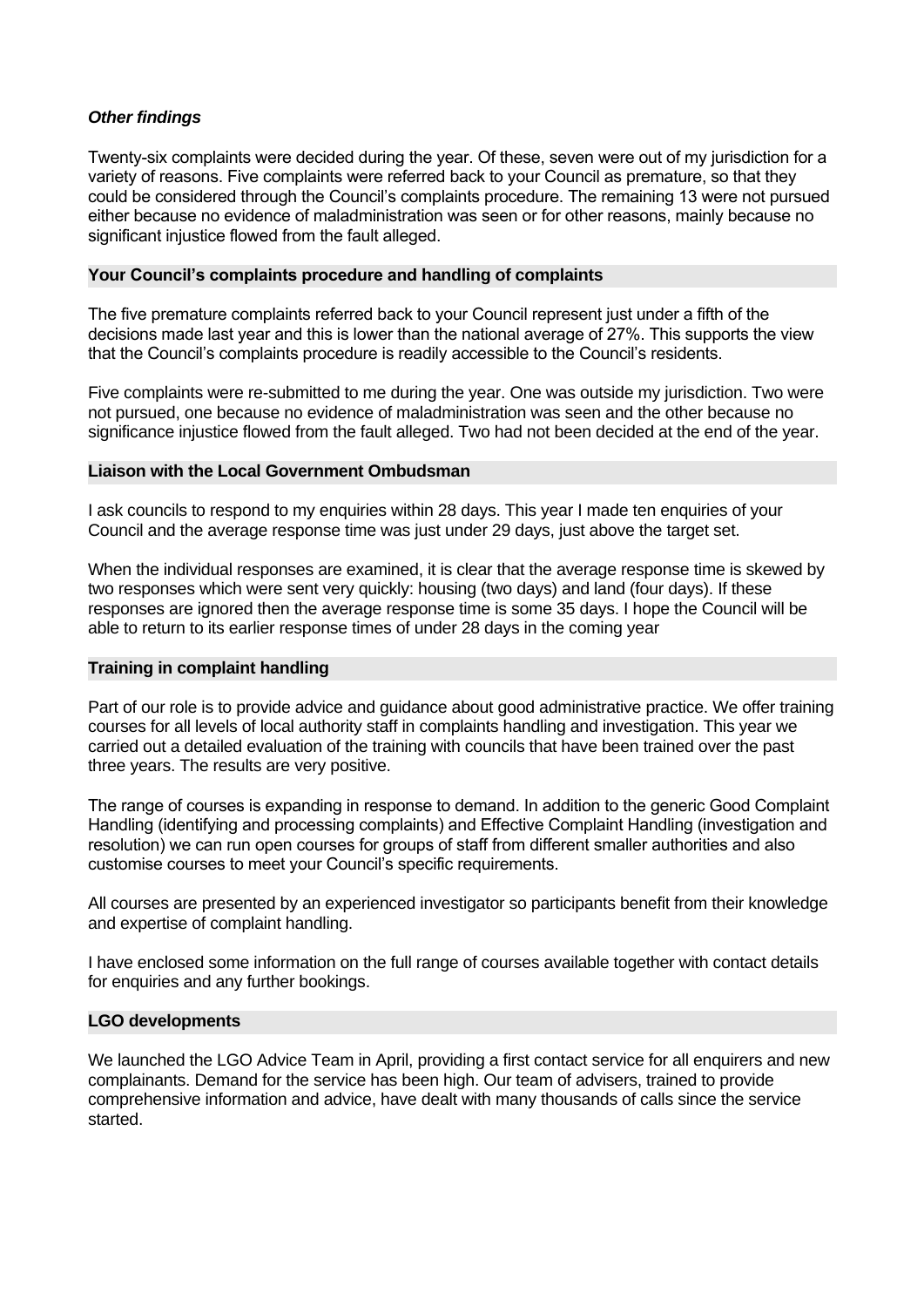# *Other findings*

Twenty-six complaints were decided during the year. Of these, seven were out of my jurisdiction for a variety of reasons. Five complaints were referred back to your Council as premature, so that they could be considered through the Council's complaints procedure. The remaining 13 were not pursued either because no evidence of maladministration was seen or for other reasons, mainly because no significant injustice flowed from the fault alleged.

# **Your Council's complaints procedure and handling of complaints**

The five premature complaints referred back to your Council represent just under a fifth of the decisions made last year and this is lower than the national average of 27%. This supports the view that the Council's complaints procedure is readily accessible to the Council's residents.

Five complaints were re-submitted to me during the year. One was outside my jurisdiction. Two were not pursued, one because no evidence of maladministration was seen and the other because no significance injustice flowed from the fault alleged. Two had not been decided at the end of the year.

# **Liaison with the Local Government Ombudsman**

I ask councils to respond to my enquiries within 28 days. This year I made ten enquiries of your Council and the average response time was just under 29 days, just above the target set.

When the individual responses are examined, it is clear that the average response time is skewed by two responses which were sent very quickly: housing (two days) and land (four days). If these responses are ignored then the average response time is some 35 days. I hope the Council will be able to return to its earlier response times of under 28 days in the coming year

# **Training in complaint handling**

Part of our role is to provide advice and guidance about good administrative practice. We offer training courses for all levels of local authority staff in complaints handling and investigation. This year we carried out a detailed evaluation of the training with councils that have been trained over the past three years. The results are very positive.

The range of courses is expanding in response to demand. In addition to the generic Good Complaint Handling (identifying and processing complaints) and Effective Complaint Handling (investigation and resolution) we can run open courses for groups of staff from different smaller authorities and also customise courses to meet your Council's specific requirements.

All courses are presented by an experienced investigator so participants benefit from their knowledge and expertise of complaint handling.

I have enclosed some information on the full range of courses available together with contact details for enquiries and any further bookings.

# **LGO developments**

We launched the LGO Advice Team in April, providing a first contact service for all enquirers and new complainants. Demand for the service has been high. Our team of advisers, trained to provide comprehensive information and advice, have dealt with many thousands of calls since the service started.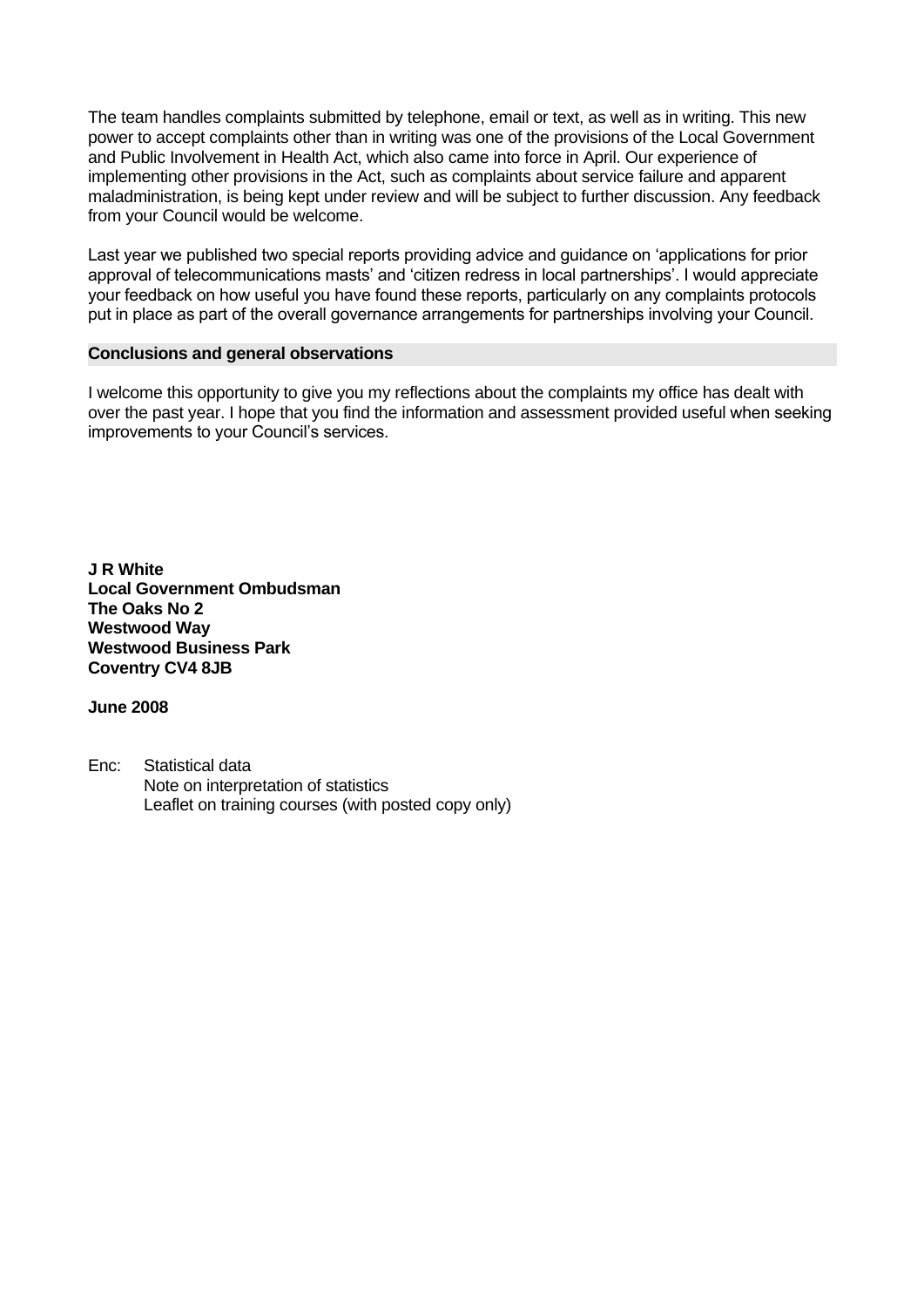The team handles complaints submitted by telephone, email or text, as well as in writing. This new power to accept complaints other than in writing was one of the provisions of the Local Government and Public Involvement in Health Act, which also came into force in April. Our experience of implementing other provisions in the Act, such as complaints about service failure and apparent maladministration, is being kept under review and will be subject to further discussion. Any feedback from your Council would be welcome.

Last year we published two special reports providing advice and guidance on 'applications for prior approval of telecommunications masts' and 'citizen redress in local partnerships'. I would appreciate your feedback on how useful you have found these reports, particularly on any complaints protocols put in place as part of the overall governance arrangements for partnerships involving your Council.

# **Conclusions and general observations**

I welcome this opportunity to give you my reflections about the complaints my office has dealt with over the past year. I hope that you find the information and assessment provided useful when seeking improvements to your Council's services.

**J R White Local Government Ombudsman The Oaks No 2 Westwood Way Westwood Business Park Coventry CV4 8JB**

**June 2008**

Enc: Statistical data Note on interpretation of statistics Leaflet on training courses (with posted copy only)